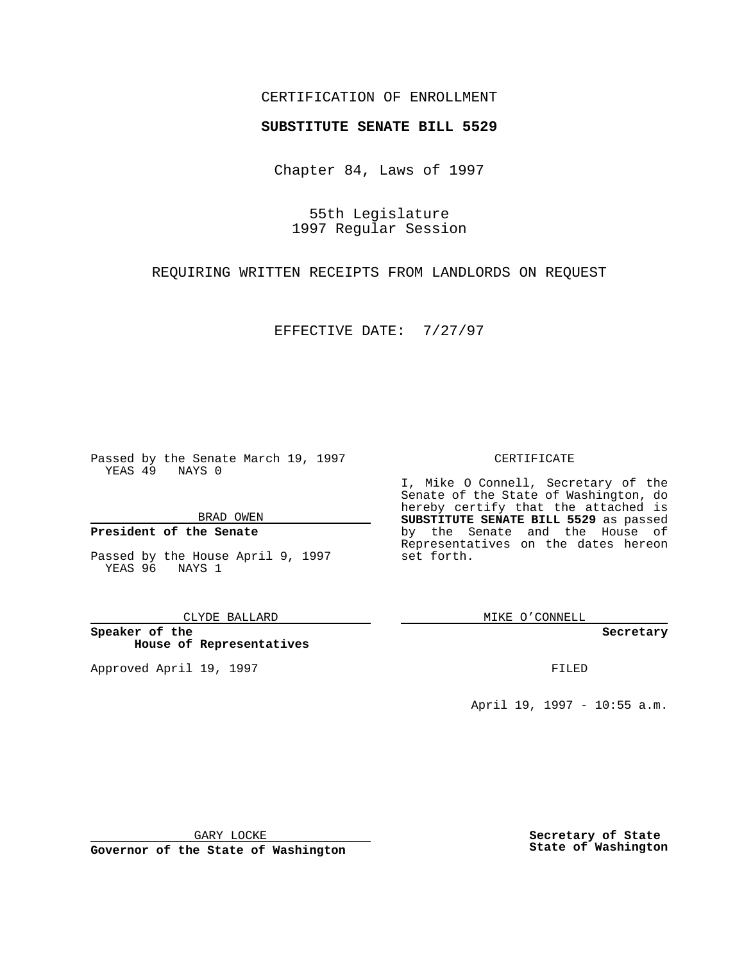## CERTIFICATION OF ENROLLMENT

# **SUBSTITUTE SENATE BILL 5529**

Chapter 84, Laws of 1997

55th Legislature 1997 Regular Session

REQUIRING WRITTEN RECEIPTS FROM LANDLORDS ON REQUEST

EFFECTIVE DATE: 7/27/97

Passed by the Senate March 19, 1997 YEAS 49 NAYS 0

BRAD OWEN

### **President of the Senate**

Passed by the House April 9, 1997 YEAS 96 NAYS 1

#### CLYDE BALLARD

**Speaker of the House of Representatives**

Approved April 19, 1997 **FILED** 

### CERTIFICATE

I, Mike O Connell, Secretary of the Senate of the State of Washington, do hereby certify that the attached is **SUBSTITUTE SENATE BILL 5529** as passed by the Senate and the House of Representatives on the dates hereon set forth.

MIKE O'CONNELL

**Secretary**

April 19, 1997 - 10:55 a.m.

GARY LOCKE

**Governor of the State of Washington**

**Secretary of State State of Washington**